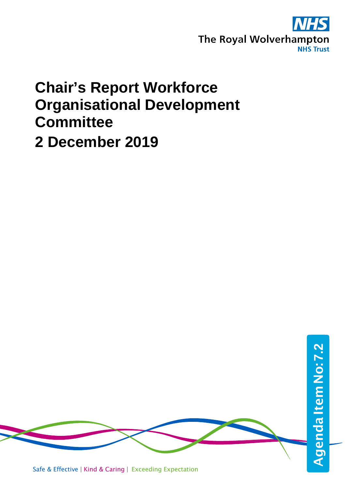

## **Chair's Report Workforce Organisational Development Committee 2 December 2019**

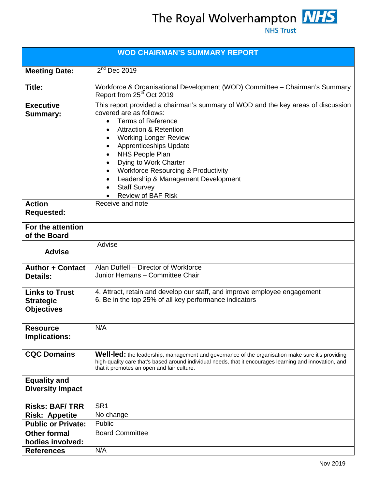The Royal Wolverhampton **NHS** 

| <b>WOD CHAIRMAN'S SUMMARY REPORT</b>                           |                                                                                                                                                                                                                                                                                                                                                                                                                                                                                                          |  |  |
|----------------------------------------------------------------|----------------------------------------------------------------------------------------------------------------------------------------------------------------------------------------------------------------------------------------------------------------------------------------------------------------------------------------------------------------------------------------------------------------------------------------------------------------------------------------------------------|--|--|
| <b>Meeting Date:</b>                                           | $2nd$ Dec 2019                                                                                                                                                                                                                                                                                                                                                                                                                                                                                           |  |  |
| Title:                                                         | Workforce & Organisational Development (WOD) Committee - Chairman's Summary<br>Report from 25 <sup>th</sup> Oct 2019                                                                                                                                                                                                                                                                                                                                                                                     |  |  |
| <b>Executive</b><br><b>Summary:</b>                            | This report provided a chairman's summary of WOD and the key areas of discussion<br>covered are as follows:<br><b>Terms of Reference</b><br>$\bullet$<br><b>Attraction &amp; Retention</b><br><b>Working Longer Review</b><br>$\bullet$<br><b>Apprenticeships Update</b><br>$\bullet$<br>NHS People Plan<br>$\bullet$<br>Dying to Work Charter<br><b>Workforce Resourcing &amp; Productivity</b><br>Leadership & Management Development<br>$\bullet$<br><b>Staff Survey</b><br><b>Review of BAF Risk</b> |  |  |
| <b>Action</b><br><b>Requested:</b>                             | Receive and note                                                                                                                                                                                                                                                                                                                                                                                                                                                                                         |  |  |
| For the attention<br>of the Board                              |                                                                                                                                                                                                                                                                                                                                                                                                                                                                                                          |  |  |
| <b>Advise</b>                                                  | Advise                                                                                                                                                                                                                                                                                                                                                                                                                                                                                                   |  |  |
| <b>Author + Contact</b><br><b>Details:</b>                     | Alan Duffell - Director of Workforce<br>Junior Hemans - Committee Chair                                                                                                                                                                                                                                                                                                                                                                                                                                  |  |  |
| <b>Links to Trust</b><br><b>Strategic</b><br><b>Objectives</b> | 4. Attract, retain and develop our staff, and improve employee engagement<br>6. Be in the top 25% of all key performance indicators                                                                                                                                                                                                                                                                                                                                                                      |  |  |
| <b>Resource</b><br><b>Implications:</b>                        | N/A                                                                                                                                                                                                                                                                                                                                                                                                                                                                                                      |  |  |
| <b>CQC Domains</b>                                             | Well-led: the leadership, management and governance of the organisation make sure it's providing<br>high-quality care that's based around individual needs, that it encourages learning and innovation, and<br>that it promotes an open and fair culture.                                                                                                                                                                                                                                                |  |  |
| <b>Equality and</b><br><b>Diversity Impact</b>                 |                                                                                                                                                                                                                                                                                                                                                                                                                                                                                                          |  |  |
| <b>Risks: BAF/TRR</b>                                          | SR <sub>1</sub>                                                                                                                                                                                                                                                                                                                                                                                                                                                                                          |  |  |
| <b>Risk: Appetite</b>                                          | No change                                                                                                                                                                                                                                                                                                                                                                                                                                                                                                |  |  |
| <b>Public or Private:</b>                                      | Public                                                                                                                                                                                                                                                                                                                                                                                                                                                                                                   |  |  |
| <b>Other formal</b>                                            | <b>Board Committee</b>                                                                                                                                                                                                                                                                                                                                                                                                                                                                                   |  |  |
| bodies involved:                                               |                                                                                                                                                                                                                                                                                                                                                                                                                                                                                                          |  |  |
| <b>References</b>                                              | N/A                                                                                                                                                                                                                                                                                                                                                                                                                                                                                                      |  |  |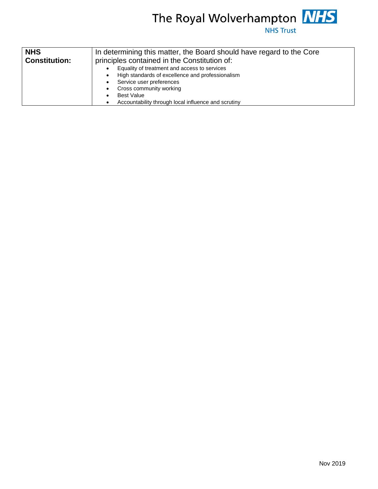

| <b>NHS</b>           | In determining this matter, the Board should have regard to the Core<br>principles contained in the Constitution of:<br>Equality of treatment and access to services<br>High standards of excellence and professionalism<br>Service user preferences<br>Cross community working<br><b>Best Value</b><br>Accountability through local influence and scrutiny |  |  |  |
|----------------------|-------------------------------------------------------------------------------------------------------------------------------------------------------------------------------------------------------------------------------------------------------------------------------------------------------------------------------------------------------------|--|--|--|
| <b>Constitution:</b> |                                                                                                                                                                                                                                                                                                                                                             |  |  |  |
|                      |                                                                                                                                                                                                                                                                                                                                                             |  |  |  |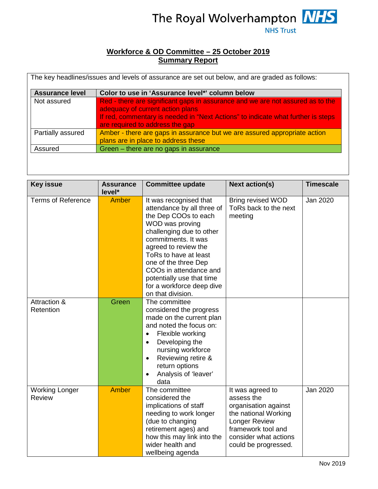

## **Workforce & OD Committee – 25 October 2019 Summary Report**

| <b>Assurance level</b> | Color to use in 'Assurance level*' column below                                                                                                                                                                                           |
|------------------------|-------------------------------------------------------------------------------------------------------------------------------------------------------------------------------------------------------------------------------------------|
| Not assured            | Red - there are significant gaps in assurance and we are not assured as to the<br>adequacy of current action plans<br>If red, commentary is needed in "Next Actions" to indicate what further is steps<br>are required to address the gap |
| Partially assured      | Amber - there are gaps in assurance but we are assured appropriate action<br>plans are in place to address these                                                                                                                          |
| Assured                | Green - there are no gaps in assurance                                                                                                                                                                                                    |

| <b>Key issue</b>                | <b>Assurance</b><br>level* | <b>Committee update</b>                                                                                                                                                                                                                                                                                                              | <b>Next action(s)</b>                                                                                                                                                         | <b>Timescale</b> |
|---------------------------------|----------------------------|--------------------------------------------------------------------------------------------------------------------------------------------------------------------------------------------------------------------------------------------------------------------------------------------------------------------------------------|-------------------------------------------------------------------------------------------------------------------------------------------------------------------------------|------------------|
| <b>Terms of Reference</b>       | Amber                      | It was recognised that<br>attendance by all three of<br>the Dep COOs to each<br>WOD was proving<br>challenging due to other<br>commitments. It was<br>agreed to review the<br>ToRs to have at least<br>one of the three Dep<br>COOs in attendance and<br>potentially use that time<br>for a workforce deep dive<br>on that division. | <b>Bring revised WOD</b><br>ToRs back to the next<br>meeting                                                                                                                  | Jan 2020         |
| Attraction &<br>Retention       | Green                      | The committee<br>considered the progress<br>made on the current plan<br>and noted the focus on:<br>Flexible working<br>$\bullet$<br>Developing the<br>$\bullet$<br>nursing workforce<br>Reviewing retire &<br>$\bullet$<br>return options<br>Analysis of 'leaver'<br>data                                                            |                                                                                                                                                                               |                  |
| <b>Working Longer</b><br>Review | Amber                      | The committee<br>considered the<br>implications of staff<br>needing to work longer<br>(due to changing<br>retirement ages) and<br>how this may link into the<br>wider health and<br>wellbeing agenda                                                                                                                                 | It was agreed to<br>assess the<br>organisation against<br>the national Working<br><b>Longer Review</b><br>framework tool and<br>consider what actions<br>could be progressed. | Jan 2020         |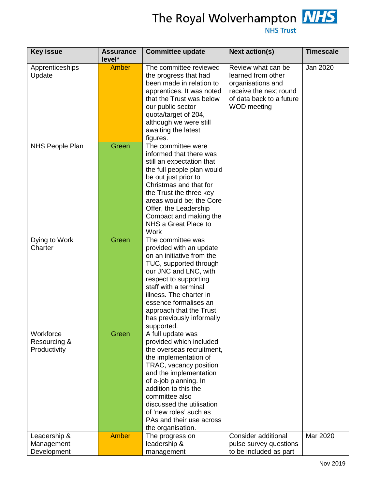

| <b>Key issue</b>                          | <b>Assurance</b><br>level* | <b>Committee update</b>                                                                                                                                                                                                                                                                                                           | <b>Next action(s)</b>                                                                                                                     | <b>Timescale</b> |
|-------------------------------------------|----------------------------|-----------------------------------------------------------------------------------------------------------------------------------------------------------------------------------------------------------------------------------------------------------------------------------------------------------------------------------|-------------------------------------------------------------------------------------------------------------------------------------------|------------------|
| Apprenticeships<br>Update                 | <b>Amber</b>               | The committee reviewed<br>the progress that had<br>been made in relation to<br>apprentices. It was noted<br>that the Trust was below<br>our public sector<br>quota/target of 204,<br>although we were still<br>awaiting the latest<br>figures.                                                                                    | Review what can be<br>learned from other<br>organisations and<br>receive the next round<br>of data back to a future<br><b>WOD</b> meeting | Jan 2020         |
| <b>NHS People Plan</b>                    | Green                      | The committee were<br>informed that there was<br>still an expectation that<br>the full people plan would<br>be out just prior to<br>Christmas and that for<br>the Trust the three key<br>areas would be; the Core<br>Offer, the Leadership<br>Compact and making the<br>NHS a Great Place to<br><b>Work</b>                       |                                                                                                                                           |                  |
| Dying to Work<br>Charter                  | Green                      | The committee was<br>provided with an update<br>on an initiative from the<br>TUC, supported through<br>our JNC and LNC, with<br>respect to supporting<br>staff with a terminal<br>illness. The charter in<br>essence formalises an<br>approach that the Trust<br>has previously informally<br>supported.                          |                                                                                                                                           |                  |
| Workforce<br>Resourcing &<br>Productivity | Green                      | A full update was<br>provided which included<br>the overseas recruitment,<br>the implementation of<br>TRAC, vacancy position<br>and the implementation<br>of e-job planning. In<br>addition to this the<br>committee also<br>discussed the utilisation<br>of 'new roles' such as<br>PAs and their use across<br>the organisation. |                                                                                                                                           |                  |
| Leadership &<br>Management<br>Development | <b>Amber</b>               | The progress on<br>leadership &<br>management                                                                                                                                                                                                                                                                                     | <b>Consider additional</b><br>pulse survey questions<br>to be included as part                                                            | Mar 2020         |